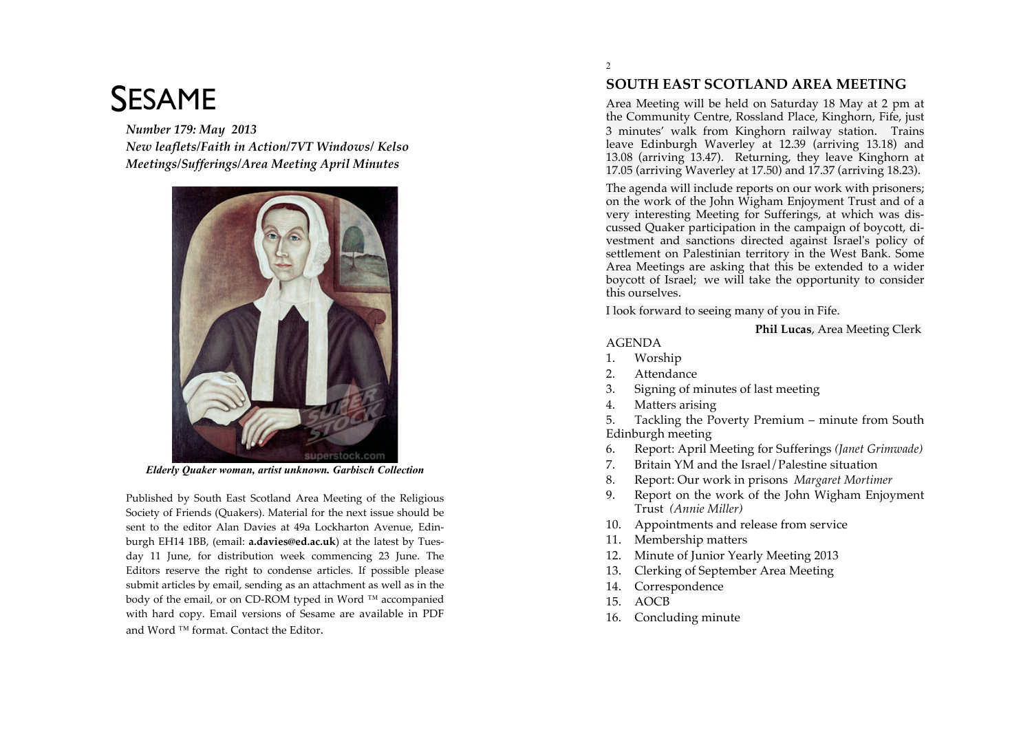# SESAME

*Number 179: May 2013 New leaflets/Faith in Action/7VT Windows/ Kelso*  $Meetings/Sufferings/Area Meeting$ <br>April Minutes



*Elderly Quaker woman, artist unknown. Garbisch Collection*

Published by South East Scotland Area Meeting of the Religious Society of Friends (Quakers). Material for the next issue should be sent to the editor Alan Davies at 49a Lockharton Avenue, Edinburgh EH14 1BB, (email: a.davies@ed.ac.uk) at the latest by Tuesday 11 June, for distribution week commencing 23 June. The Editors reserve the right to condense articles. If possible please submit articles by email, sending as an attachment as well as in the body of the email, or on CD-ROM typed in Word <sup>TM</sup> accompanied with hard copy. Email versions of Sesame are available in PDF and Word  $TM$  format. Contact the Editor.

2

# **SOUTH EAST SCOTLAND AREA MEETING**

Area Meeting will be held on Saturday 18 May at 2 pm at the Community Centre, Rossland Place, Kinghorn, Fife, just 3 minutes' walk from Kinghorn railway station. Trains leave Edinburgh Waverley at 12.39 (arriving 13.18) and 13.08 (arriving 13.47). Returning, they leave Kinghorn at 17.05 (arriving Waverley at 17.50) and 17.37 (arriving 18.23).

The agenda will include reports on our work with prisoners; on the work of the John Wigham Enjoyment Trust and of a very interesting Meeting for Sufferings, at which was discussed Quaker participation in the campaign of boycott, divestment and sanctions directed against Israel's policy of settlement on Palestinian territory in the West Bank. Some Area Meetings are asking that this be extended to a wider boycott of Israel; we will take the opportunity to consider this ourselves.

I look forward to seeing many of you in Fife.

#### **Phil Lucas**, Area Meeting Clerk

#### AGENDA

- 1. Worship
- 2. Attendance
- 3. Signing of minutes of last meeting
- 4. Matters arising

5. Tackling the Poverty Premium – minute from South Edinburgh meeting

- 6. Report: April Meeting for Sufferings *(Janet Grimwade)*
- 7. Britain YM and the Israel/Palestine situation
- 8. Report: Our work in prisons *Margaret Mortimer*
- 9. Report on the work of the John Wigham Enjoyment Trust *(Annie Miller)*
- 10. Appointments and release from service
- 11. Membership matters
- 12. Minute of Junior Yearly Meeting 2013
- 13. Clerking of September Area Meeting
- 14. Correspondence
- 15. AOCB
- 16. Concluding minute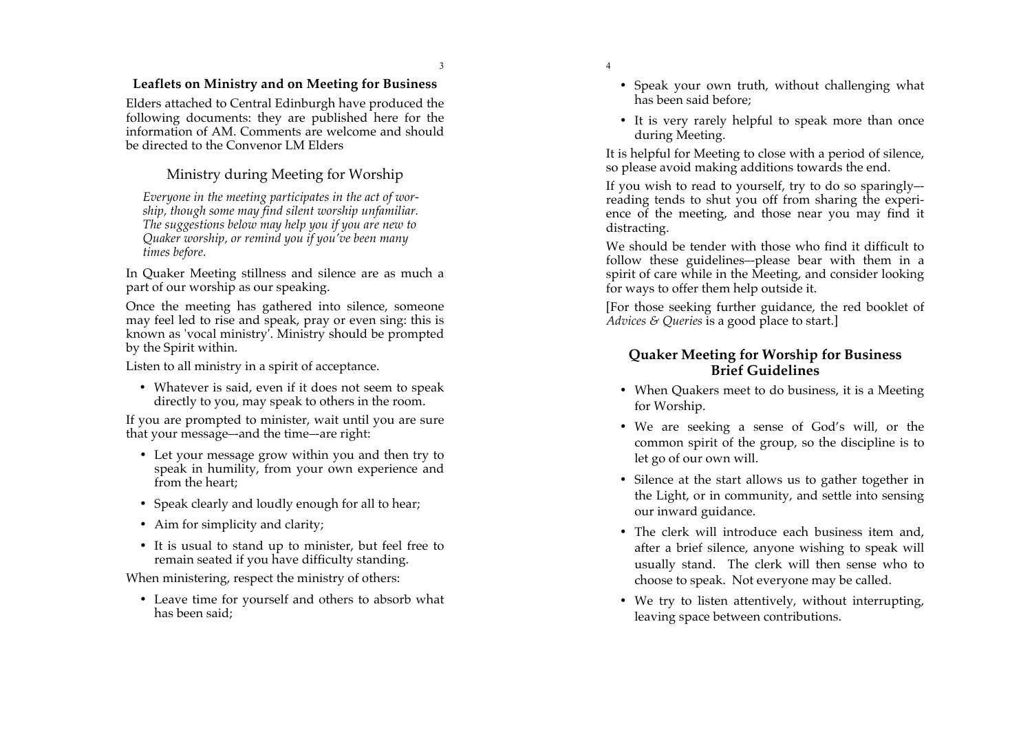#### **Leaflets on Ministry and on Meeting for Business**

Elders attached to Central Edinburgh have produced the following documents: they are published here for the information of AM. Comments are welcome and should be directed to the Convenor LM Elders

# Ministry during Meeting for Worship

*Everyone in the meeting partic ipates in the act of wor ship, though some may find silent worship unfamiliar. The suggestions below may help you if you are new to Quaker worship, or remind you if you've been many times b efore.*

In Quaker Meeting stillness and s ilence are as much a part of our worship as our speaking.

Once the meeting has gathered into silence, someone may feel led to rise and speak, pray or even sing: this is known as 'vocal ministry'. Ministry should be prompted by the Spirit within.

Listen to all ministry in a spirit of acceptance.

• Whatever is said, even if it does not seem to speak directly to you, may speak to others in the room.

If you are prompted to minister, wait until you are sure that your message--and the time--are right:

- Let your message grow within you and then try to speak in humility, from your own exp erience and from the heart;
- Speak clearly and loudly enough for all to hear;
- Aim for simplicity and clarity;
- It is usual to stand up to minister, but feel free to remain seated if you have difficulty standing.

When ministering, respect the mi nistry of others:

• Leave time for yourself and others to absorb what has been said;

- 4
- Speak your own truth, without challenging what has been said before;
- It is very rarely helpful to speak more than once during Meeting.

It is helpful for Meeting to close with a period of silence, so please avoid making a dditions towards the end.

If you wish to read to yourself, try to do so sparingly – reading tends to shut you off from sharing the e xperi ence of the meeting, and those near you may find it distracting.

We should be tender with those who find it difficult to follow these guidelines – -please bear with them in a spirit of care while in the Meeting, and consider looking for ways to offer them help outside it.

[For those seeking further guidance, the red booklet of *Advices & Qu eries* is a good place to start.]

#### **Quaker Meeting for Worship for Business Brief Guidelines**

- When Quakers meet to do business, it is a Meeting for Worship.
- We are seeking a sense of God's will, or the common spirit of the group, so the discipline is to let go of our own will.
- Silence at the start allows us to gather together in the Light, or in community, and settle into sensing our inward guidance.
- The clerk will introduce each business item and, after a brief silence, anyone wishing to speak will usually stand. The clerk will then sense who to choose to speak. Not everyone may be called.
- We try to listen attentively, without interrupting, leaving space between contributions.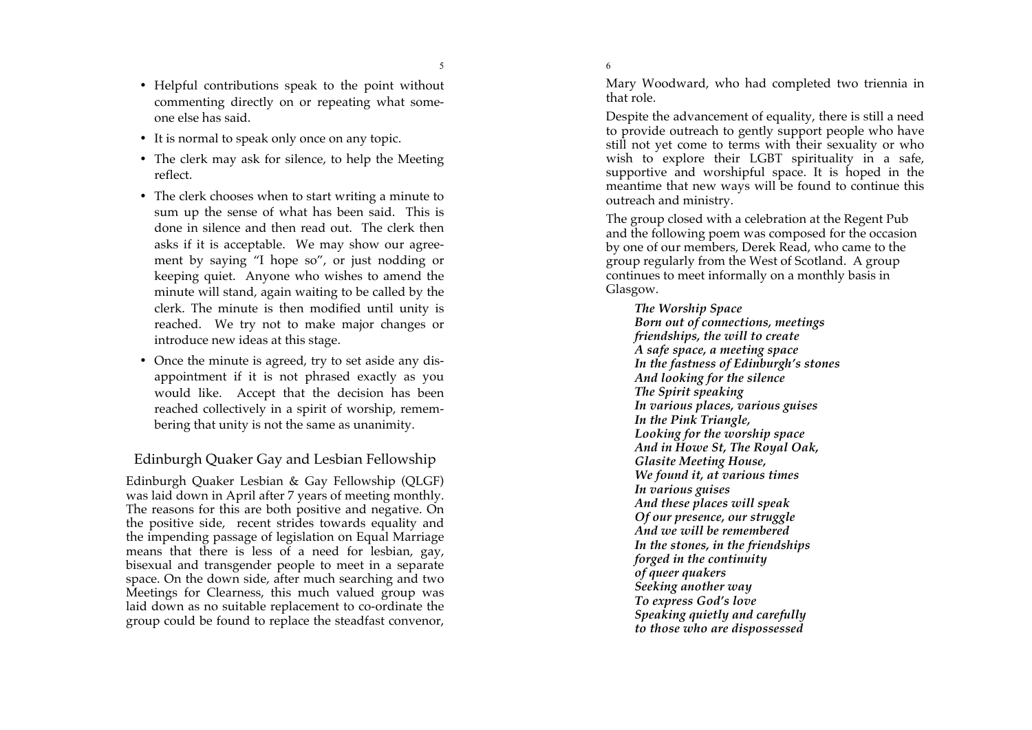- It is normal to speak only once on any topic.
- The clerk may ask for silence, to help the Meeting reflect.
- The clerk chooses when to start writing a minute to sum up the sense of what has been said. This is done in silence and then read out. The clerk then asks if it is acceptable. We may show our agree ment by saying "I hope so", or just nodding or keeping quiet. Anyone who wishes to amend the minute will stand, again waiting to be called by the clerk. The minute is then modified until unity is reached. We try not to make major changes or introduce new ideas at this stage.
- Once the minute is agreed, try to set aside any dis appointment if it is not phrased exactly as you would like. Accept that the decision has been reached collectively in a spirit of worship, remem bering that unity is not the same as unanimity.

#### Edinburgh Quaker Gay and Lesbian Fellowship

Edinburgh Quaker Lesbian & Gay Fellowship (QLGF) was laid down in April after 7 years of meeting monthly. The reasons for this are both positive and negative. On the positive side, recent strides towards equality and the impending passage of legislation on Equal Marriage means that there is less of a need for lesbian, gay, bisexual and transgender people to meet in a separate space. On the down side, after much searching and two Meetings for Clearness, this much valued group was laid down as no suitable replacement to co -ordinate the group could be found to replace the steadfast convenor,

6

Mary Woodward, who had completed two triennia in that role.

Despite the advancement of equality, there is still a need to provide outreach to gently support people who have still not yet come to terms with their sexuality or who wish to explore their LGBT spirituality in a safe, supportive and worshipful space. It is hoped in the meantime that new ways will be found to continue this outreach and ministry.

The group closed with a celebration at the Regent Pub and the following poem was composed for the occasion by one of our members, Derek Read, who came to the group regularly from the West of Scotland. A group continues to meet informally on a monthly basis in Glasgow.

*The Worship Space Born out of connections, meetings friendships, the will to create A safe space, a meeting space In the fastness of Edinburgh's stones And looking for the silence The Spirit speaking In various places, various guises In the Pink Triangle, Looking for the worship space And in Howe St, The Royal Oak, Glasite Meeting House, We found it, at various times In various guises And these places will speak Of our presence, our struggle And we will be remembered In the stones, in the friendships forged in the continuity of queer quakers Seeking another way To express God's love Speaking quietly and carefully to those who are dispossessed*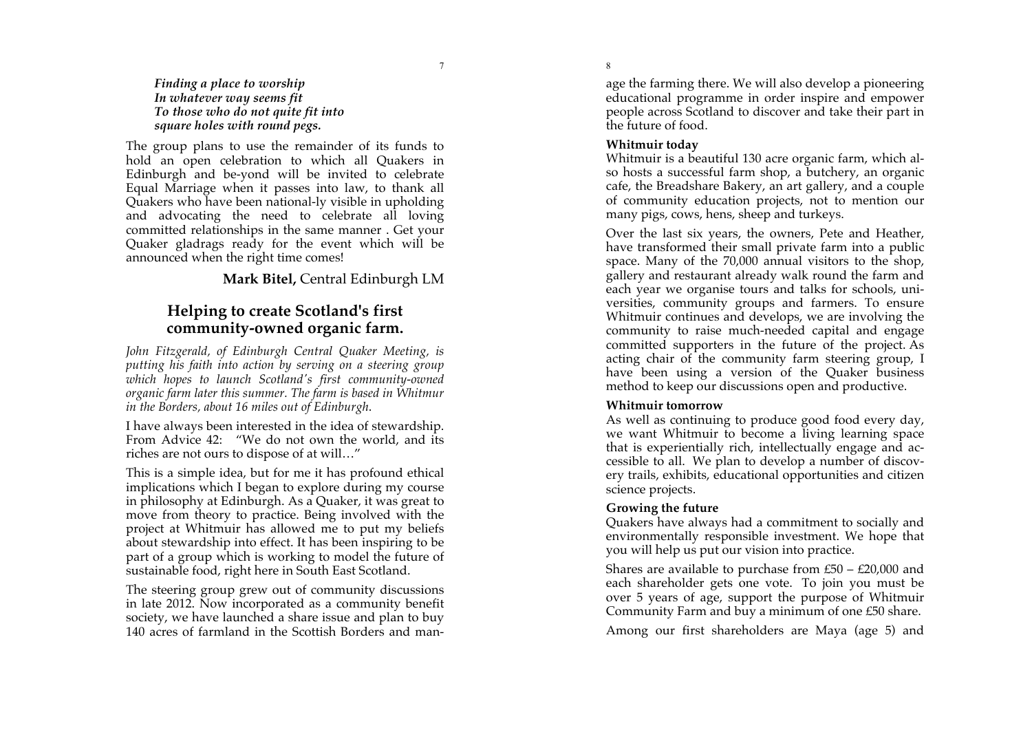*Finding a place to worship In whatever way seems fit To those who do not quite fit into square holes with round pegs.*

The group plans to use the remainder of its funds to hold an open celebration to which all Quakers in Edinburgh and be -yond will be invited to celebrate Equal Marriage when it passes into law, to thank all Quakers who have been national -ly visible in upholding and advocating the need to celebrate all loving committed relationships in the same manner . Get your Quaker gladrags ready for the event which will be announced when the right time comes!

### **Mark Bitel,** Central Edinburgh LM

# **Helping to create Scotland's first community -owned organic farm.**

John Fitzgerald, of Edinburgh Central Quaker Meeting, is *putting his faith into action by serving on a steering group which hopes to launch Scotland's first community -owned organic farm later this summer. The farm is based in Whitmur in the Borders, about 16 miles out of Edinburgh* .

I have always been interested in the idea of stewardship. From Advice 42: "We do not own the world, and its riches are not ours to dispose of at will…"

This is a simple idea, but for me it has profound ethical implications which I began to explore during my course in philosophy at Edinburgh. As a Quaker, it was great to move from theory to practice. Being involved with the project at Whitmuir has allowed me to put my beliefs about stewardship into effect. It has been inspiring to be part of a group which is working to model the future of sustainable food, right here in South East Scotland.

The steering group grew out of community discussions in late 2012. Now incorporated as a community benefit society, we have launched a share issue and plan to buy 140 acres of farmland in the Scottish Borders and man -

age the farming there. We will also develop a pioneering educational programme in order inspire and empower people across Scotland to discover and take their part in the future of food.

#### **Whitmuir today**

8

Whitmuir is a beautiful 130 acre organic farm, which al so hosts a successful farm shop, a butchery, an organic cafe, the Breadshare Bakery, an art gallery, and a couple of community education projects, not to mention our many pigs, cows, hens, sheep and turkeys.

Over the last six years, the owners, Pete and Heather, have transformed their small private farm into a public space. Many of the 70,000 annual visitors to the shop, gallery and restaurant already walk round the farm and each year we organise tours and talks for schools, uni versities, community groups and farmers. To ensure Whitmuir continues and develops, we are involving the community to raise much-needed capital and engage committed supporters in the future of the project. As acting chair of the community farm steering group, I have been using a version of the Quaker business method to keep our discussions open and productive.

#### **Whitmuir tomorrow**

As well as continuing to produce good food every day, we want Whitmuir to become a living learning space that is experientially rich, intellectually engage and ac cessible to all. We plan to develop a number of discov ery trails, exhibits, educational opportunities and citizen science projects.

#### **Growing the future**

Quakers have always had a commitment to socially and environmentally responsible investment. We hope that you will help us put our vision into practice.

Shares are available to purchase from £50 – £20,000 and each shareholder gets one vote. To join you must be over 5 years of age, support the purpose of Whitmuir Community Farm and buy a minimum of one £50 share.

Among our first shareholders are Maya (age 5) and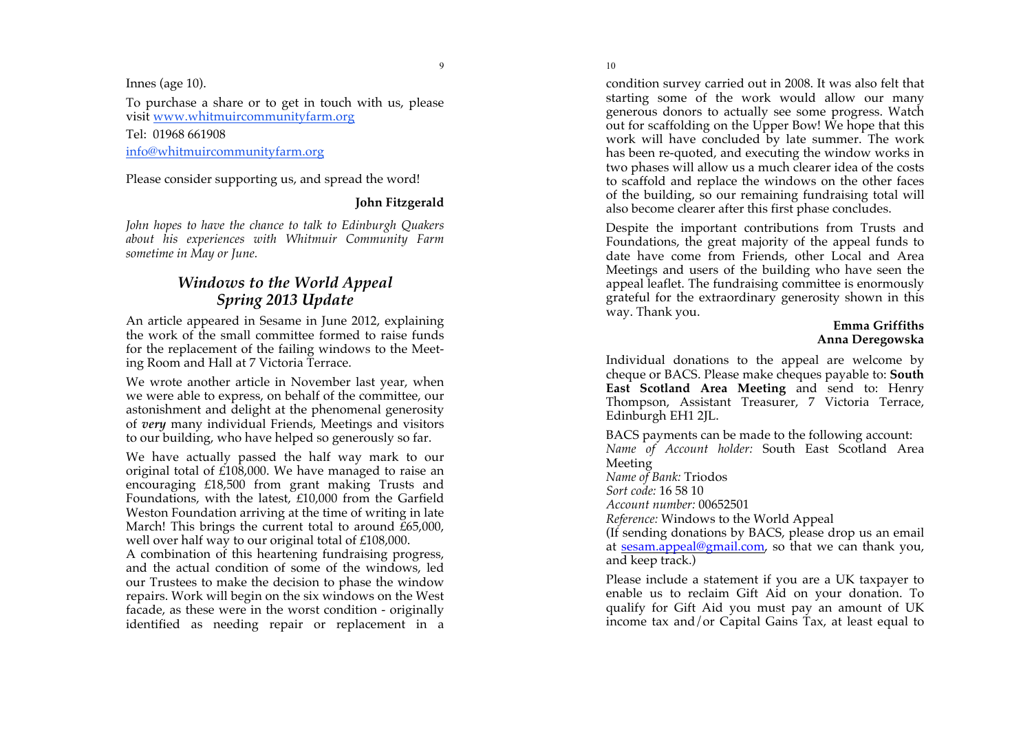Innes (age 10).

To purchase a share or to get in touch with us, please visit www.whitmuircommunityfarm.org

Tel: 01968 661908

info@whitmuircommunityfarm.org

Please consider supporting us, and spread the word!

#### **John Fitzgerald**

John hopes to have the chance to talk to Edinburgh Quakers *about his experiences with Whitmuir Community Farm sometime in May or June.*

# *Windows to the World Appeal Spring 2013 Update*

An article appeared in Sesame in June 2012, explaining the work of the small committee formed to raise funds for the replacement of the failing windows to the Meet ing Room and Hall at 7 Victoria Terrace.

We wrote another article in November last year, when we were able to express , on behalf of the committee, our astonishment and delight at the phenomenal generosity of *very* many individual Friends, Meetings and visitors to our building, who have helped so generously so far.

We have actually passed the half way mark to our original total of £108,000. We have managed to raise an encouraging £18,500 from grant making Trusts and Foundations, with the latest, £10,000 from the Garfield Weston Foundation arriving at the time of writing in late March! This brings the current total to around £65,000, well over half way to our original total of £108,000.

A combination of this heartening fundraising progress, and the actual condition of some of the windows, led our Trustees to make the decision to phase the window repairs. Work will begin on the six windows on the West facade, as these were in the worst condition - originally identified as needing repair or replacement in a

condition survey carried out in 2008. It was also felt that starting some of the work would allow our many generous donors to actually see some progress. Watch out for scaffolding on the Upper Bow! We hope that this work will have concluded by late summer. The work has been re -quoted, and executing the window works in two phases will allow us a much clearer idea of the costs to scaffold and replace the windows on the other faces of the building, so our remaining fundraising total will also become clearer after this first phase concludes.

Despite the important contributions from Trusts and Foundations, the great majority of the appeal funds to date have come from Friends, other Local and Area Meetings and users of the building who have seen the appeal leaflet. The fundraising committee is enormously grateful for the extraordinary generosity shown in this way. Thank you.

#### **Emma Griffiths Anna Deregowska**

Individual donations to the appeal are welcome by cheque or BACS. Please make cheques payable to: **South East Scotland Area Meeting** and send to: Henry Thompson, Assistant Treasurer, 7 Victoria Terrace, Edinburgh EH1 2JL.

BACS payments can be made to the following account: *Name of Account holder:* South East Scotland Area Meeting *Name of Bank:* Triodos *Sort code:* 16 58 10 *Account number:* 00652501 *Reference:* Windows to the World Appeal (If sending donations by BACS, please drop us an email at sesam.appeal@gmail.com, so that we can thank you, and keep track.)

Please include a statement if you are a UK taxpayer to enable us to reclaim Gift Aid on your donation. To qualify for Gift Aid you must pay an amount of UK income tax and/or Capital Gains Tax, at least equal to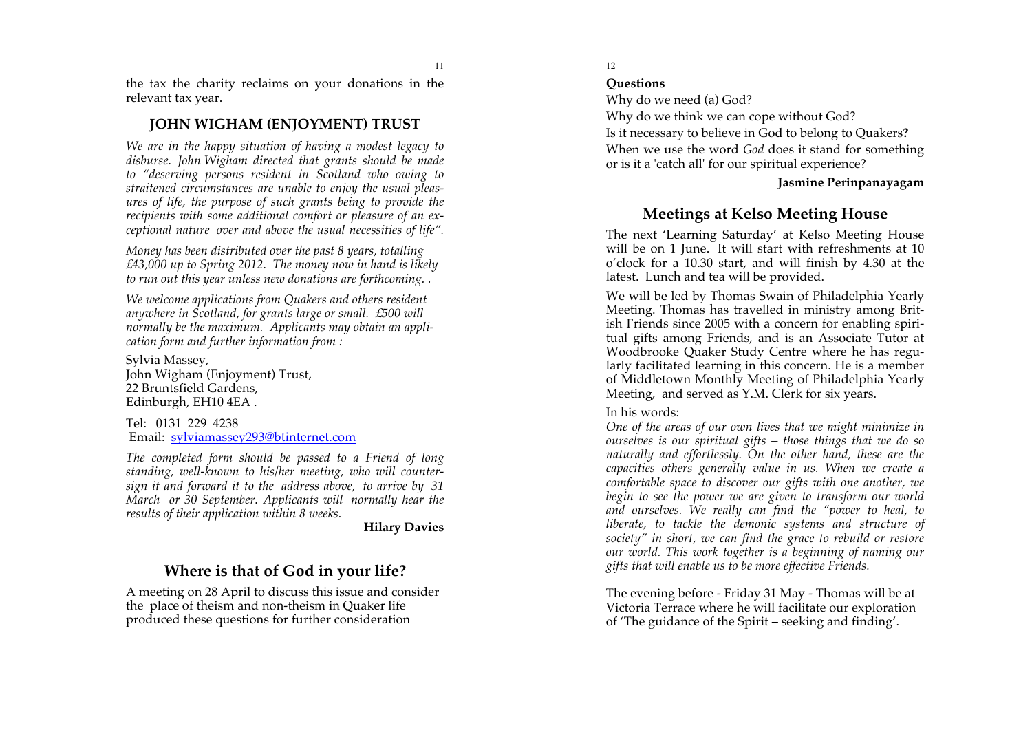the tax the charity reclaims on your donations in the relevant tax year.

## **JOHN WIGHAM (ENJOYMENT) TRUST**

*We are in the happy situation of having a modest legacy to disburse. John Wigham directed that grants should be made to "deserving persons resident in Scotland who owing to straitened circumstances are unable to enjoy the usual pleas ures of life, the purpose of such grants being to provide the recipients with some additional comfort or pleasure of an ex ceptional nature over and above the usual necessities of life" .*

*Money has been distributed over the past 8 years, totalling £43,000 up to Spring 2012. The money now in hand is likely to run out this year unless new donations are forthcoming. .*

*We welcome applications from Quakers and others resident anywhere in Scotland, for grants large or small. £500 will normally be the maximum. Applicants may obtain an appli cation form and further information from :*

Sylvia Massey, John Wigham (Enjoyment) Trust, 22 Bruntsfield Gardens, Edinburgh, EH10 4EA .

Tel: 0131 229 4238 Email: sylviamassey293@btinternet.com

*The completed form should be passed to a Friend of long standing, well -known to his/her meeting, who will counter sign it and forward it to the address above, to arrive by 31 March or 30 September. Applicants will normally hear the results of their application within 8 weeks .*

#### **Hilary Davies**

# **Where is that of God in your life?**

A meeting on 28 April to discuss this issue and consider the place of theism and non -theism in Quaker life produced these questions for further consideration

#### 12

#### **Questions**

Why do we need (a) God?

Why do we think we can cope without God?

Is it necessary to believe in God to belong to Quakers **?** When we use the word *God* does it stand for something or is it a 'catch all' for our spiritual experience?

#### **Jasmine Perinpanayagam**

# **Meetings at Kelso Meeting House**

The next 'Learning Saturday' at Kelso Meeting House will be on 1 June. It will start with refreshments at 10 o'clock for a 10.30 start, and will finish by 4.30 at the latest. Lunch and tea will be provided.

We will be led by Thomas Swain of Philadelphia Yearly Meeting. Thomas has travelled in ministry among Brit ish Friends since 2005 with a concern for enabling spir i tual gifts among Friends, and is an Associate Tutor at Woodbrooke Quaker Study Centre where he has regu larly facilitated learning in this concern. He is a member of Middletown Monthly Meeting of Philadelphia Yearly Meeting, and served as Y.M. Clerk for six years.<br>In his words:

*One of the areas of our own lives that we might minimize in ourselves is our spiritual gifts – those things that we do so naturally and effortlessly. On the other hand, these are the capacities others generally value in us. When we create a comfortable space to discover our gifts with one another, we*  begin to see the power we are given to transform our world *and ourselves. We really can find the "power to heal, to liberate, to tackle the demonic systems and structure of society" in short, we can find the grace to rebuild or restore our world. This work together is a beginning of naming our gifts that will enable us to be more effective Friends.*

The evening before - Friday 31 May - Thomas will be at Victoria Terrace where he will facilitate our exploration of 'The guidance of the Spirit – seeking and finding'.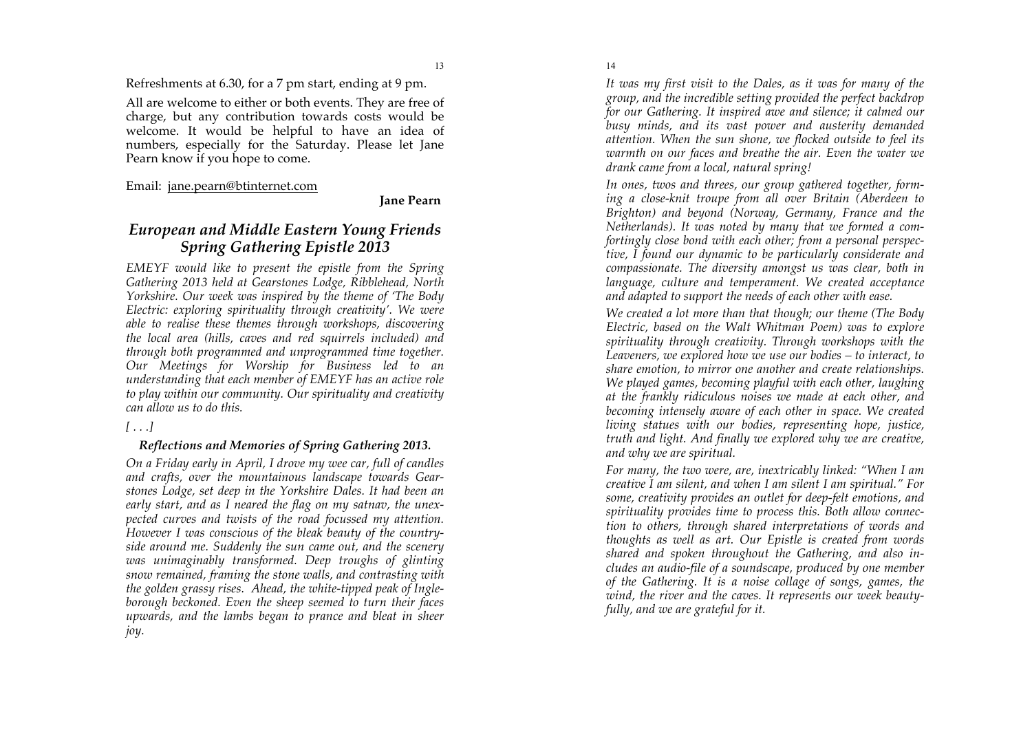Refreshments at 6.30, for a 7 pm start, ending at 9 pm.

All are welcome to either or both events. They are free of charge, but any contribution towards costs would be welcome. It would be helpful to have an idea of numbers, especially for the Saturday. Please let Jane Pearn know if you hope to come.

Email: jane.pearn@btinternet.com

#### **Jane Pearn**

# *European and Middle Eastern Young Friends Spring Gathering Epistle 2013*

*EMEYF would like to present the epistle from the Spring Gathering 2013 held at Gearstones Lodge, Ribblehead, North Yorkshire. Our week was inspired by the theme of 'The Body Electric: exploring spirituality through creativity'. We were able to realise these themes through workshops, discovering the local area (hills, caves and red squirrels included) and through both programmed and unprogrammed time together. Our Meetings for Worship for Business led to an understanding that each member of EMEYF has an active role to play within our community. Our spirituality and creativity can allow us to do this.*

#### *[ . . .]*

#### *Reflections and Memories of Spring Gathering 2013.*

*On a Friday early in April, I drove my wee car, full of candles and crafts, over the mountainous landscape towards Gearstones Lodge, set deep in the Yorkshire Dales. It had been an early start, and as I neared the flag on my satnav, the unexpected curves and twists of the road focussed my attention. However I was conscious of the bleak beauty of the countryside around me. Suddenly the sun came out, and the scenery was unimaginably transformed. Deep troughs of glinting snow remained, framing the stone walls, and contrasting with the golden grassy rises. Ahead, the white-tipped peak of Ingleborough beckoned. Even the sheep seemed to turn their faces upwards, and the lambs began to prance and bleat in sheer joy.* 

*It was my first visit to the Dales, as it was for many of the group, and the incredible setting provided the perfect backdrop for our Gathering. It inspired awe and silence; it calmed our busy minds, and its vast power and austerity demanded attention. When the sun shone, we flocked outside to feel its warmth on our faces and breathe the air. Even the water we drank came from a local, natural spring!*

*In ones, twos and threes, our group gathered together, forming a close-knit troupe from all over Britain (Aberdeen to Brighton) and beyond (Norway, Germany, France and the Netherlands). It was noted by many that we formed a comfortingly close bond with each other; from a personal perspective, I found our dynamic to be particularly considerate and compassionate. The diversity amongst us was clear, both in language, culture and temperament. We created acceptance and adapted to support the needs of each other with ease.* 

*We created a lot more than that though; our theme (The Body Electric, based on the Walt Whitman Poem) was to explore spirituality through creativity. Through workshops with the Leaveners, we explored how we use our bodies – to interact, to share emotion, to mirror one another and create relationships. We played games, becoming playful with each other, laughing at the frankly ridiculous noises we made at each other, and becoming intensely aware of each other in space. We created living statues with our bodies, representing hope, justice, truth and light. And finally we explored why we are creative, and why we are spiritual.*

*For many, the two were, are, inextricably linked: "When I am creative I am silent, and when I am silent I am spiritual." For some, creativity provides an outlet for deep-felt emotions, and spirituality provides time to process this. Both allow connection to others, through shared interpretations of words and thoughts as well as art. Our Epistle is created from words shared and spoken throughout the Gathering, and also includes an audio-file of a soundscape, produced by one member of the Gathering. It is a noise collage of songs, games, the wind, the river and the caves. It represents our week beautyfully, and we are grateful for it.*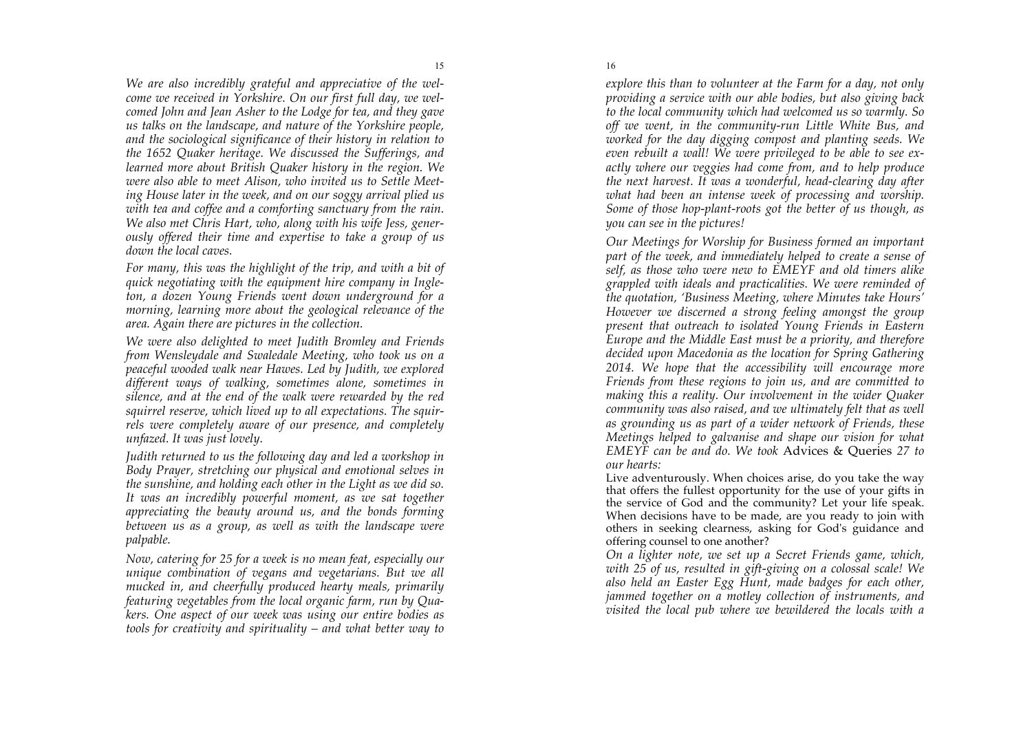*We are also incredibly grateful and appreciative of the welcome we received in Yorkshire. On our first full day, we welcomed John and Jean Asher to the Lodge for tea, and they gave us talks on the landscape, and nature of the Yorkshire people, and the sociological significance of their history in relation to the 1652 Quaker heritage. We discussed the Sufferings, and learned more about British Quaker history in the region. We were also able to meet Alison, who invited us to Settle Meeting House later in the week, and on our soggy arrival plied us with tea and coffee and a comforting sanctuary from the rain. We also met Chris Hart, who, along with his wife Jess, generously offered their time and expertise to take a group of us down the local caves.* 

*For many, this was the highlight of the trip, and with a bit of quick negotiating with the equipment hire company in Ingleton, a dozen Young Friends went down underground for a morning, learning more about the geological relevance of the area. Again there are pictures in the collection.*

*We were also delighted to meet Judith Bromley and Friends from Wensleydale and Swaledale Meeting, who took us on a peaceful wooded walk near Hawes. Led by Judith, we explored different ways of walking, sometimes alone, sometimes in silence, and at the end of the walk were rewarded by the red squirrel reserve, which lived up to all expectations. The squirrels were completely aware of our presence, and completely unfazed. It was just lovely.* 

*Judith returned to us the following day and led a workshop in Body Prayer, stretching our physical and emotional selves in the sunshine, and holding each other in the Light as we did so. It was an incredibly powerful moment, as we sat together appreciating the beauty around us, and the bonds forming between us as a group, as well as with the landscape were palpable.* 

*Now, catering for 25 for a week is no mean feat, especially our unique combination of vegans and vegetarians. But we all mucked in, and cheerfully produced hearty meals, primarily featuring vegetables from the local organic farm, run by Quakers. One aspect of our week was using our entire bodies as tools for creativity and spirituality – and what better way to* 

*explore this than to volunteer at the Farm for a day, not only providing a service with our able bodies, but also giving back to the local community which had welcomed us so warmly. So off we went, in the community-run Little White Bus, and worked for the day digging compost and planting seeds. We even rebuilt a wall! We were privileged to be able to see exactly where our veggies had come from, and to help produce the next harvest. It was a wonderful, head-clearing day after what had been an intense week of processing and worship. Some of those hop-plant-roots got the better of us though, as you can see in the pictures!*

*Our Meetings for Worship for Business formed an important part of the week, and immediately helped to create a sense of self, as those who were new to EMEYF and old timers alike grappled with ideals and practicalities. We were reminded of the quotation, 'Business Meeting, where Minutes take Hours' However we discerned a strong feeling amongst the group present that outreach to isolated Young Friends in Eastern Europe and the Middle East must be a priority, and therefore decided upon Macedonia as the location for Spring Gathering 2014. We hope that the accessibility will encourage more Friends from these regions to join us, and are committed to making this a reality. Our involvement in the wider Quaker community was also raised, and we ultimately felt that as well as grounding us as part of a wider network of Friends, these Meetings helped to galvanise and shape our vision for what EMEYF can be and do. We took* Advices & Queries *27 to our hearts:* 

Live adventurously. When choices arise, do you take the way that offers the fullest opportunity for the use of your gifts in the service of God and the community? Let your life speak. When decisions have to be made, are you ready to join with others in seeking clearness, asking for God's guidance and offering counsel to one another?

*On a lighter note, we set up a Secret Friends game, which, with 25 of us, resulted in gift-giving on a colossal scale! We also held an Easter Egg Hunt, made badges for each other, jammed together on a motley collection of instruments, and visited the local pub where we bewildered the locals with a* 

16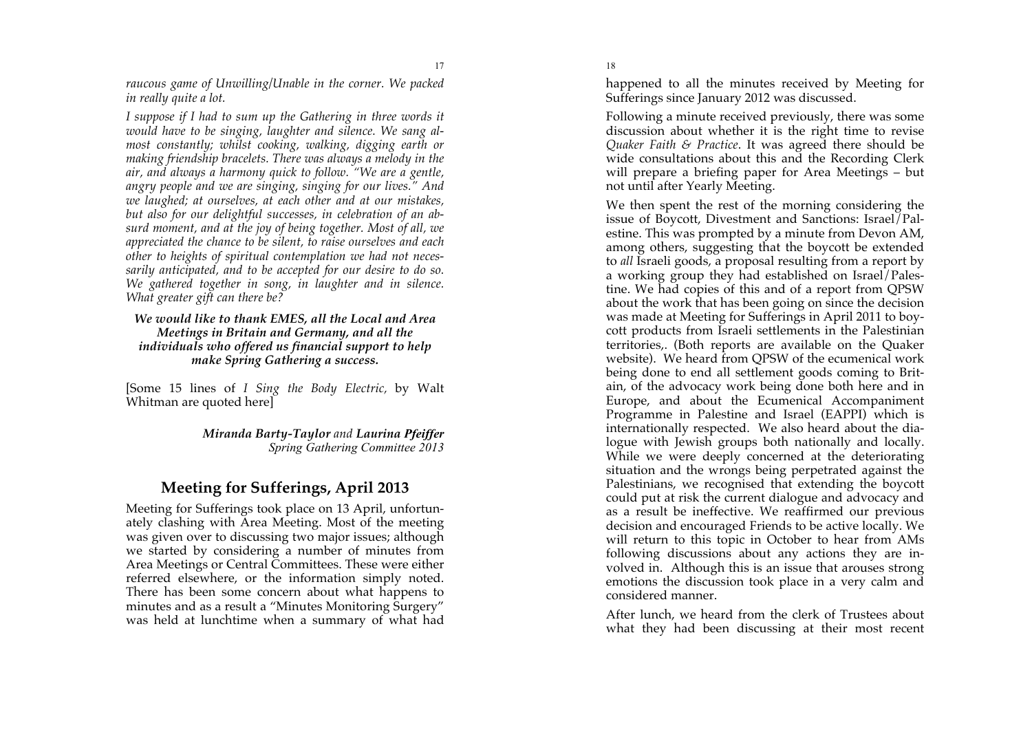*raucous game of Unwilling/Unable in the corner. We packed in really quite a lot.*

17

*I suppose if I had to sum up the Gathering in three words it would have to be singing, laughter and silence. We sang almost constantly; whilst cooking, walking, digging earth or making friendship bracelets. There was always a melody in the air, and always a harmony quick to follow. "We are a gentle, angry people and we are singing, singing for our lives." And we laughed; at ourselves, at each other and at our mistakes, but also for our delightful successes, in celebration of an absurd moment, and at the joy of being together. Most of all, we appreciated the chance to be silent, to raise ourselves and each other to heights of spiritual contemplation we had not necessarily anticipated, and to be accepted for our desire to do so. We gathered together in song, in laughter and in silence. What greater gift can there be?*

#### *We would like to thank EMES, all the Local and Area Meetings in Britain and Germany, and all the individuals who offered us financial support to help make Spring Gathering a success.*

[Some 15 lines of *I Sing the Body Electric,* by Walt Whitman are quoted here]

> *Miranda Barty-Taylor and Laurina Pfeiffer Spring Gathering Committee 2013*

# **Meeting for Sufferings, April 2013**

Meeting for Sufferings took place on 13 April, unfortunately clashing with Area Meeting. Most of the meeting was given over to discussing two major issues; although we started by considering a number of minutes from Area Meetings or Central Committees. These were either referred elsewhere, or the information simply noted. There has been some concern about what happens to minutes and as a result a "Minutes Monitoring Surgery" was held at lunchtime when a summary of what had

happened to all the minutes received by Meeting for Sufferings since January 2012 was discussed.

Following a minute received previously, there was some discussion about whether it is the right time to revise *Quaker Faith & Practice*. It was agreed there should be wide consultations about this and the Recording Clerk will prepare a briefing paper for Area Meetings – but not until after Yearly Meeting.

We then spent the rest of the morning considering the issue of Boycott, Divestment and Sanctions: Israel/Palestine. This was prompted by a minute from Devon AM, among others, suggesting that the boycott be extended to *all* Israeli goods, a proposal resulting from a report by a working group they had established on Israel/Palestine. We had copies of this and of a report from QPSW about the work that has been going on since the decision was made at Meeting for Sufferings in April 2011 to boycott products from Israeli settlements in the Palestinian territories,. (Both reports are available on the Quaker website). We heard from QPSW of the ecumenical work being done to end all settlement goods coming to Britain, of the advocacy work being done both here and in Europe, and about the Ecumenical Accompaniment Programme in Palestine and Israel (EAPPI) which is internationally respected. We also heard about the dialogue with Jewish groups both nationally and locally. While we were deeply concerned at the deteriorating situation and the wrongs being perpetrated against the Palestinians, we recognised that extending the boycott could put at risk the current dialogue and advocacy and as a result be ineffective. We reaffirmed our previous decision and encouraged Friends to be active locally. We will return to this topic in October to hear from AMs following discussions about any actions they are involved in. Although this is an issue that arouses strong emotions the discussion took place in a very calm and considered manner.

After lunch, we heard from the clerk of Trustees about what they had been discussing at their most recent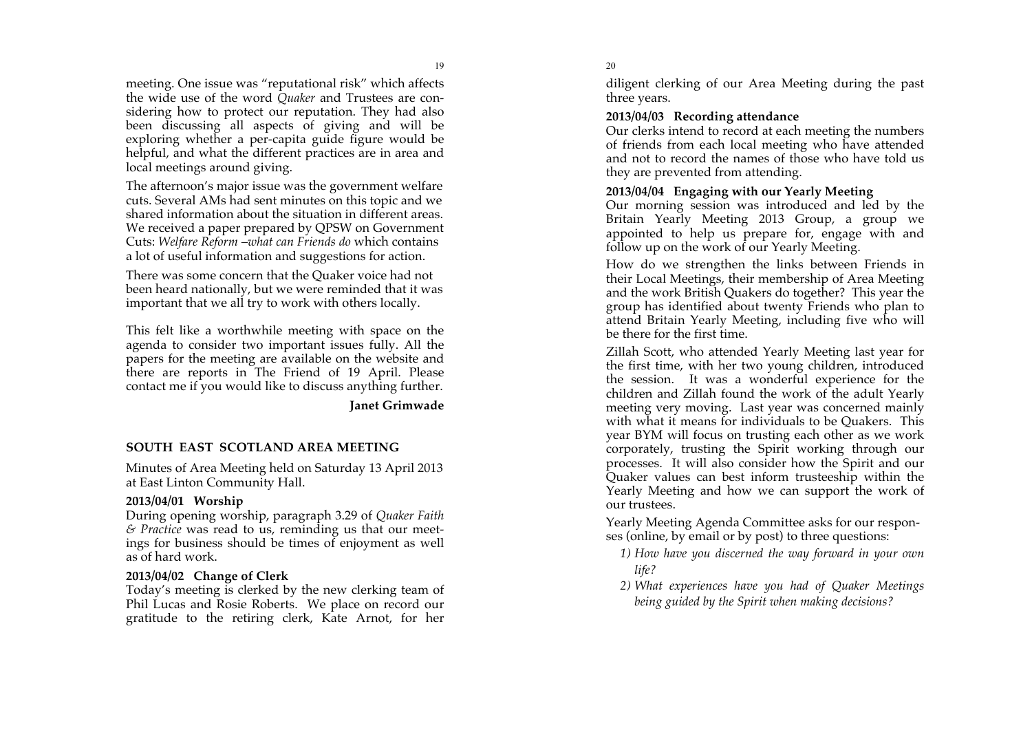meeting. One issue was "reputational risk" which affects the wide use of the word *Quaker* and Trustees are con sidering how to protect our reputation. They had also been discussing all aspects of giving and will be exploring whether a per -capita guide figure would be helpful , and what the different practices are in area and local meetings around giving.

The afternoon's major issue was the government welfare cuts. Several AMs had sent minutes on this topic and we shared information about the situation in different areas. We received a paper prepared by QPSW on Government Cuts: *Welfare Reform –what can Friends do* which contains a lot of useful information and suggestions for action.

There was some concern that the Quaker voice had not been heard nationally, but we were reminded that it was important that we all try to work with others locally.

This felt like a worthwhile meeting with space on the agenda to consider two important issues fully. All the papers for the meeting are available on the website and there are reports in The Friend of 19 April. Please contact me if you would like to discuss anything further.

**Janet Grimwade**

#### **SOUTH EAST SCOTLAND AREA MEETING**

Minutes of Area Meeting held on Saturday 13 April 2013 at East Linton Community Hall .

#### **2013/04/01 Worship**

During opening worship, paragraph 3.29 of *Quaker Faith & Practice* was read to us, reminding us that our meetings for business should be times of enjoyment as well as of hard work.

#### **2013/04/02 Change of Clerk**

Today's meeting is clerked by the new clerking team of Phil Lucas and Rosie Roberts. We place on record our gratitude to the retiring clerk, Kate Arnot, for her

#### 20

diligent clerking of our Area Meeting during the past three years.

#### **2013/04/03 Recording attendance**

Our clerks intend to record at each meeting the numbers of friends from each local meeting who have attended and not to record the names of those who have told us they are prevented from attending.

#### **2013/04/04 Engaging with our Yearly Meeting**

Our morning session was introduced and led by the Britain Yearly Meeting 2013 Group, a group we appointed to help us prepare for, engage with and follow up on the work of our Yearly Meeting.

How do we strengthen the links between Friends in their Local Meetings, their membership of Area Meeting and the work British Quakers do together? This year the group has identified about twenty Friends who plan to attend Britain Yearly Meeting, including five who will be there for the first time.

Zillah Scott, who attended Yearly Meeting last year for the first time, with her two young children, introduced the session. It was a wonderful experience for the children and Zillah found the work of the adult Yearly meeting very moving. Last year was concerned mainly with what it means for individuals to be Quakers. This year BYM will focus on trusting each other as we work corporately, trusting the Spirit working through our processes. It will also consider how the Spirit and our Quaker values can best inform trusteeship within the Yearly Meeting and how we can support the work of our trustees.

Yearly Meeting Agenda Committee asks for our respon ses (online, by email or by post) to three questions:

- *1) How have you discerned the way forward in your own life?*
- *2) What experiences have you had of Quaker Meetings being guided by the Spirit when making decisions?*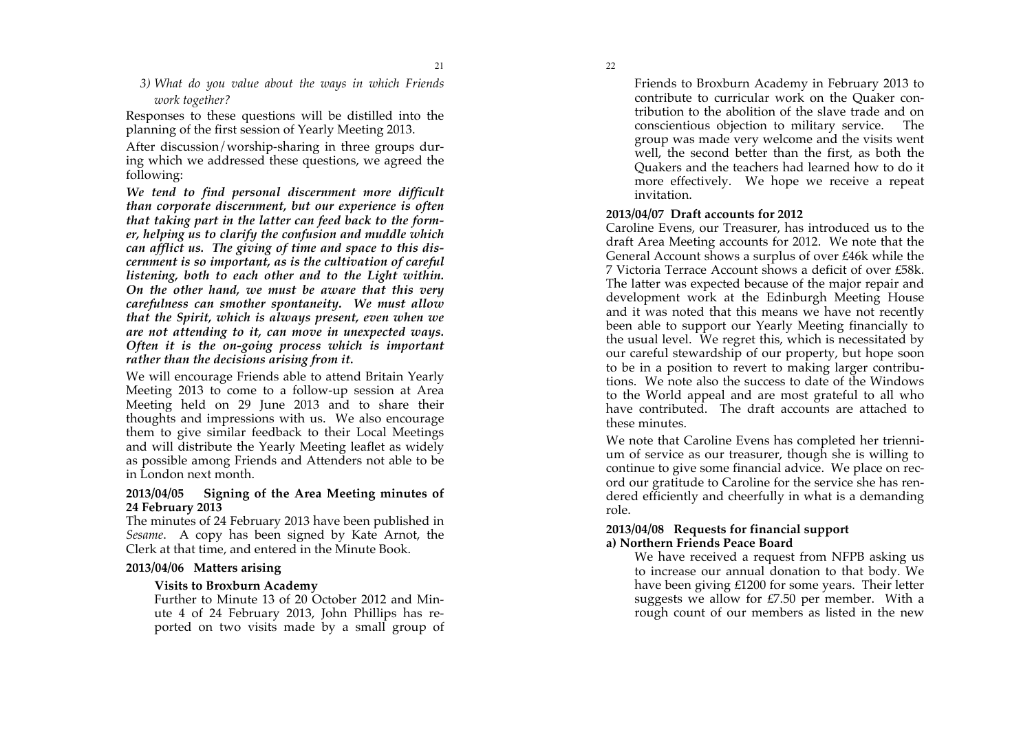*3) What do you value about the ways in which Friends work together?*

Responses to these questions will be distilled into the planning of the first session of Yearly Meeting 2013.

After discussion/worship-sharing in three groups during which we addressed these questions, we agreed the following:

*We tend to find personal discernment more difficult than corporate discernment, but our experience is often that taking part in the latter can feed back to the former, helping us to clarify the confusion and muddle which can afflict us. The giving of time and space to this discernment is so important, as is the cultivation of careful listening, both to each other and to the Light within. On the other hand, we must be aware that this very carefulness can smother spontaneity. We must allow that the Spirit, which is always present, even when we are not attending to it, can move in unexpected ways. Often it is the on-going process which is important rather than the decisions arising from it.*

We will encourage Friends able to attend Britain Yearly Meeting 2013 to come to a follow-up session at Area Meeting held on 29 June 2013 and to share their thoughts and impressions with us. We also encourage them to give similar feedback to their Local Meetings and will distribute the Yearly Meeting leaflet as widely as possible among Friends and Attenders not able to be in London next month.

#### **2013/04/05 Signing of the Area Meeting minutes of 24 February 2013**

The minutes of 24 February 2013 have been published in *Sesame*. A copy has been signed by Kate Arnot, the Clerk at that time, and entered in the Minute Book.

#### **2013/04/06 Matters arising**

#### **Visits to Broxburn Academy**

Further to Minute 13 of 20 October 2012 and Minute 4 of 24 February 2013, John Phillips has reported on two visits made by a small group of Friends to Broxburn Academy in February 2013 to contribute to curricular work on the Quaker contribution to the abolition of the slave trade and on conscientious objection to military service. The group was made very welcome and the visits went well, the second better than the first, as both the Quakers and the teachers had learned how to do it more effectively. We hope we receive a repeat invitation.

#### **2013/04/07 Draft accounts for 2012**

Caroline Evens, our Treasurer, has introduced us to the draft Area Meeting accounts for 2012. We note that the General Account shows a surplus of over £46k while the 7 Victoria Terrace Account shows a deficit of over £58k. The latter was expected because of the major repair and development work at the Edinburgh Meeting House and it was noted that this means we have not recently been able to support our Yearly Meeting financially to the usual level. We regret this, which is necessitated by our careful stewardship of our property, but hope soon to be in a position to revert to making larger contributions. We note also the success to date of the Windows to the World appeal and are most grateful to all who have contributed. The draft accounts are attached to these minutes.

We note that Caroline Evens has completed her triennium of service as our treasurer, though she is willing to continue to give some financial advice. We place on record our gratitude to Caroline for the service she has rendered efficiently and cheerfully in what is a demanding role.

#### **2013/04/08 Requests for financial support a) Northern Friends Peace Board**

We have received a request from NFPB asking us to increase our annual donation to that body. We have been giving £1200 for some years. Their letter suggests we allow for £7.50 per member. With a rough count of our members as listed in the new

22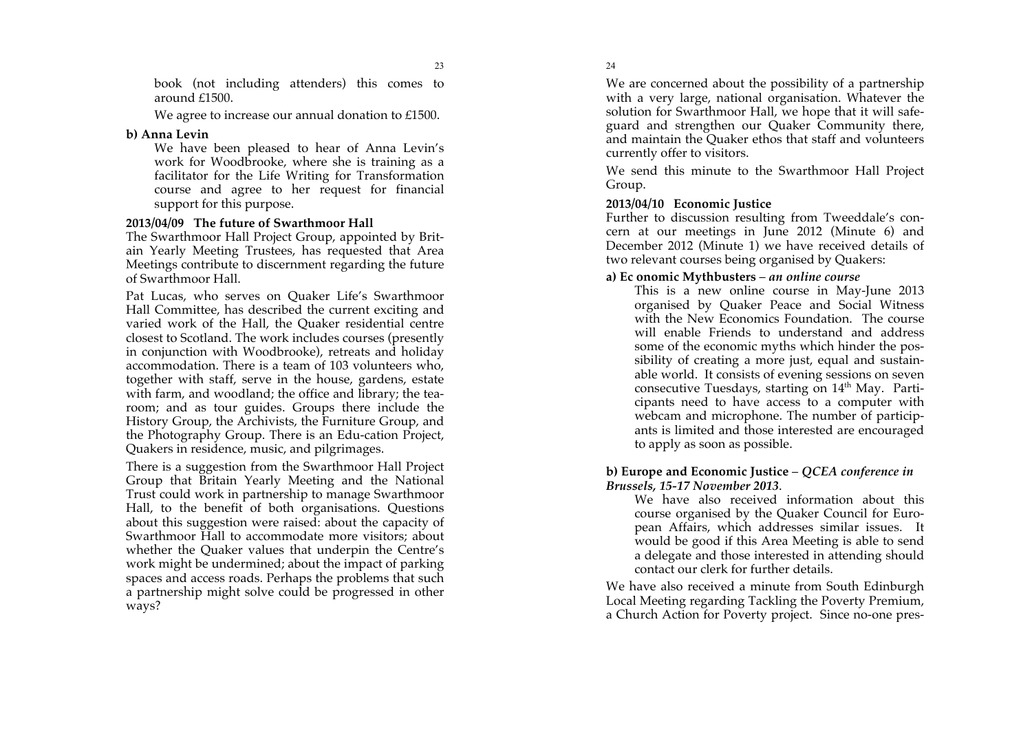book (not including attenders) this comes to around £1500.

We agree to increase our annual donation to £1500.

#### **b) Anna Levin**

We have been pleased to hear of Anna Levin's work for Woodbrooke, where she is training as a facilitator for the Life Writing for Transformation course and agree to her request for financial support for this purpose.

#### **2013/04/09 The future of Swarthmoor Hall**

The Swarthmoor Hall Project Group, appointed by Brit ain Yearly Meeting Trustees, has requested that Area Meetings contribute to discernment regarding the future of Swarthmoor Hall.

Pat Lucas, who serves on Quaker Life's Swarthmoor Hall Committee, has described the current exciting and varied work of the Hall, the Quaker residential centre closest to Scotland. The work includes courses (presently in conjunction with Woodbrooke), retreats and holiday accommodation. There is a team of 103 volunteers who, together with staff, serve in the house, gardens, estate with farm, and woodland; the office and library; the tea room; and as tour guides. Groups there include the History Group, the Archivists, the Furniture Group, and the Photography Group. There is an Edu -cation Project, Quakers in residence, music, and pilgrimages.

There is a suggestion from the Swarthmoor Hall Project Group that Britain Yearly Meeting and the National Trust could work in partnership to manage Swarthmoor Hall, to the benefit of both organisations. Questions about this suggestion were raised: about the capacity of Swarthmoor Hall to accommodate more visitors; about whether the Quaker values that underpin the Centre's work might be undermined; about the impact of parking spaces and access roads. Perhaps the problems that such a partnership might solve could be progressed in other ways?

24

We are concerned about the possibility of a partnership with a very large, national organisation. Whatever the solution for Swarthmoor Hall, we hope that it will safe guard and strengthen our Quaker Community there, and maintain the Quaker ethos that staff and volunteers currently offer to visitors.

We send this minute to the Swarthmoor Hall Project Group.

#### **2013/04/10 Economic Justice**

Further to discussion resulting from Tweeddale's con cern at our meetings in June 2012 (Minute 6) and December 2012 (Minute 1) we have received details of two relevant courses being organised by Quakers:

#### **a) Ec onomic Mythbusters** – *an online course*

This is a new online course in May -June 2013 organised by Quaker Peace and Social Witness with the New Economics Foundation. The course will enable Friends to understand and address some of the economic myths which hinder the pos sibility of creating a more just, equal and sustain able world. It consists of evening sessions on seven consecutive Tuesdays, starting on 14<sup>th</sup> May. Participants need to have access to a computer with webcam and microphone. The number of particip ants is limited and those interested are encouraged to apply as soon as possible.

#### **b) Europe and Economic Justice** – *QCEA conference in Brussels, 15 -17 November 2013* .

We have also received information about this course organised by the Quaker Council for Euro pean Affairs, which addresses similar issues. It would be good if this Area Meeting is able to send a delegate and those interested in attending should contact our clerk for further details.

We have also received a minute from South Edinburgh Local Meeting regarding Tackling the Poverty Premium, a Church Action for Poverty project. Since no -one pres -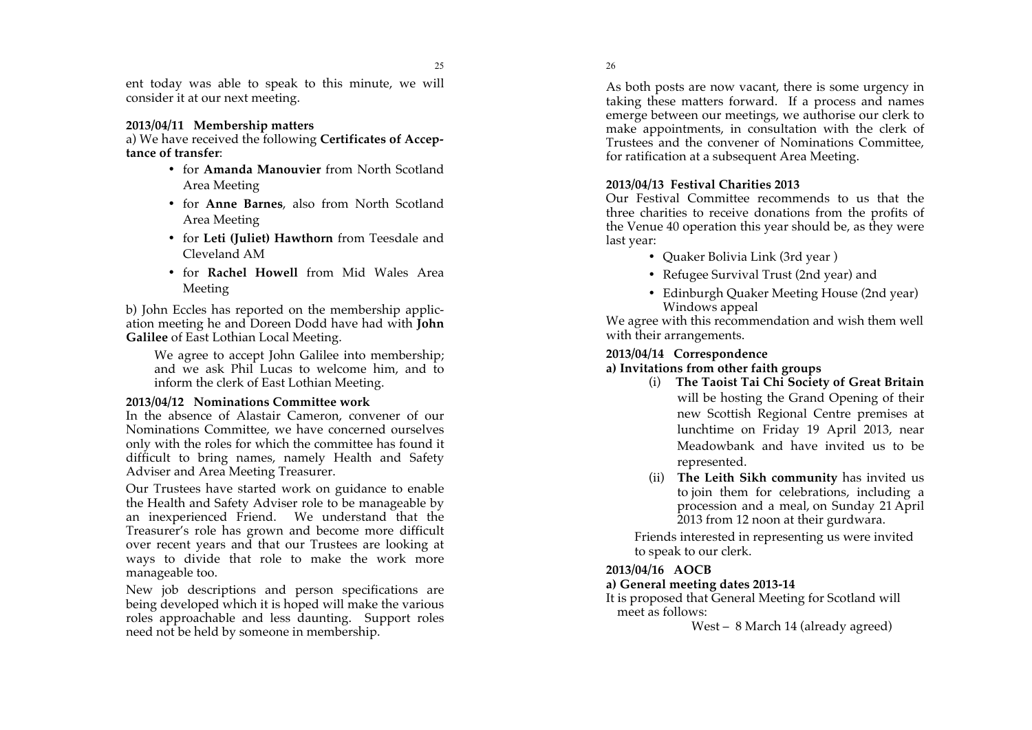ent today was able to speak to this minute, we will consider it at our next meeting.

#### **2013/04/11 Membership matters**

a) We have received the following **Certificates of Accep tance of transfer** :

- for **Amanda Manouvier** from North Scotland Area Meeting
- for **Anne Barnes**, also from North Scotland Area Meeting
- for **Leti (Juliet) Hawthorn** from Teesdale and Cleveland AM
- for **Rachel Howell** from Mid Wales Area Meeting

b) John Eccles has reported on the membership applic ation meeting he and Doreen Dodd have had with **John Galilee** of East Lothian Local Meeting.

We agree to accept John Galilee into membership; and we ask Phil Lucas to welcome him, and to inform the clerk of East Lothian Meeting.

#### **2013/04/12 Nominations Committee work**

In the absence of Alastair Cameron, convener of our Nominations Committee, we have concerned ourselves only with the roles for which the committee has found it difficult to bring names, namely Health and Safety Adviser and Area Meeting Treasurer.

Our Trustees have started work on guidance to enable the Health and Safety Adviser role to be manageable by an inexperienced Friend. We understand that the Treasurer's role has grown and become more difficult over recent years and that our Trustees are looking at ways to divide that role to make the work more manageable too.

New job descriptions and person specifications are being developed which it is hoped will make the various roles approachable and less daunting. Support roles need not be held by someone in membership.

26

As both posts are now vacant, there is some urgency in taking these matters forward. If a process and names emerge between our meetings, we authorise our clerk to make appointments, in consultation with the clerk of Trustees and the convener of Nominations Committee, for ratification at a subsequent Area Meeting.

#### **2013/04/13 Festival Charities 2013**

Our Festival Committee recommends to us that the three charities to receive donations from the profits of the Venue 40 operation this year should be, as they were last year:

- Quaker Bolivia Link (3rd year)
- Refugee Survival Trust (2nd year) and
- Edinburgh Quaker Meeting House (2nd year) Windows appeal

We agree with this recommendation and wish them well with their arrangements.

#### **2013/04/14 Correspondence**

#### **a) Invitations from other faith groups**

- (i) **The Taoist Tai Chi Society of Great Britain**  will be hosting the Grand Opening of their new Scottish Regional Centre premises at lunchtime on Friday 19 April 2013, near Meadowbank and have invited us to be represented.
- (ii) **The Leith Sikh community** has invited us to join them for celebrations, including a procession and a meal, on Sunday 21 April 2013 from 12 noon at their gurdwara.

Friends interested in representing us were invited to speak to our clerk.

#### **2013/04/16 AOCB**

#### **a) General meeting dates 2013 -14**

It is proposed that General Meeting for Scotland will meet as follows:

West – 8 March 14 (already agreed)